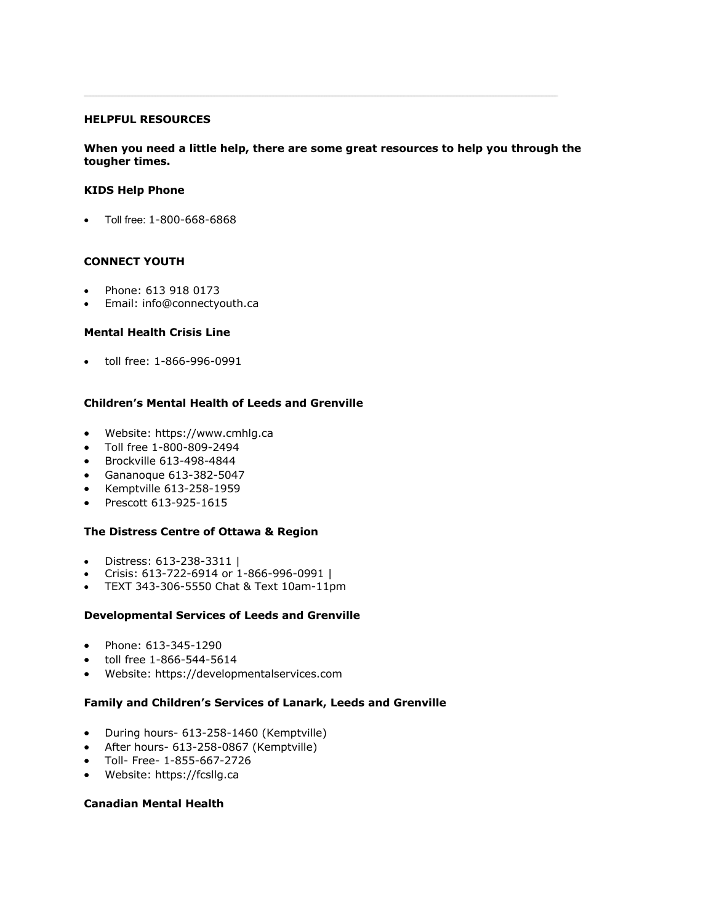#### **HELPFUL RESOURCES**

## **When you need a little help, there are some great resources to help you through the tougher times.**

### **KIDS Help Phone**

• Toll free: 1-800-668-6868

## **CONNECT YOUTH**

- Phone: 613 918 0173
- Email: info@connectyouth.ca

### **Mental Health Crisis Line**

• toll free: 1-866-996-0991

## **Children's Mental Health of Leeds and Grenville**

- Website: https://www.cmhlg.ca
- Toll free 1-800-809-2494
- Brockville 613-498-4844
- Gananoque 613-382-5047
- Kemptville 613-258-1959
- Prescott 613-925-1615

## **The Distress Centre of Ottawa & Region**

- Distress: 613-238-3311 |
- Crisis: 613-722-6914 or 1-866-996-0991 |
- TEXT 343-306-5550 Chat & Text 10am-11pm

#### **Developmental Services of Leeds and Grenville**

- Phone: 613-345-1290
- toll free 1-866-544-5614
- Website: https://developmentalservices.com

## **Family and Children's Services of Lanark, Leeds and Grenville**

- During hours- 613-258-1460 (Kemptville)
- After hours- 613-258-0867 (Kemptville)
- Toll- Free- 1-855-667-2726
- Website: https://fcsllg.ca

## **Canadian Mental Health**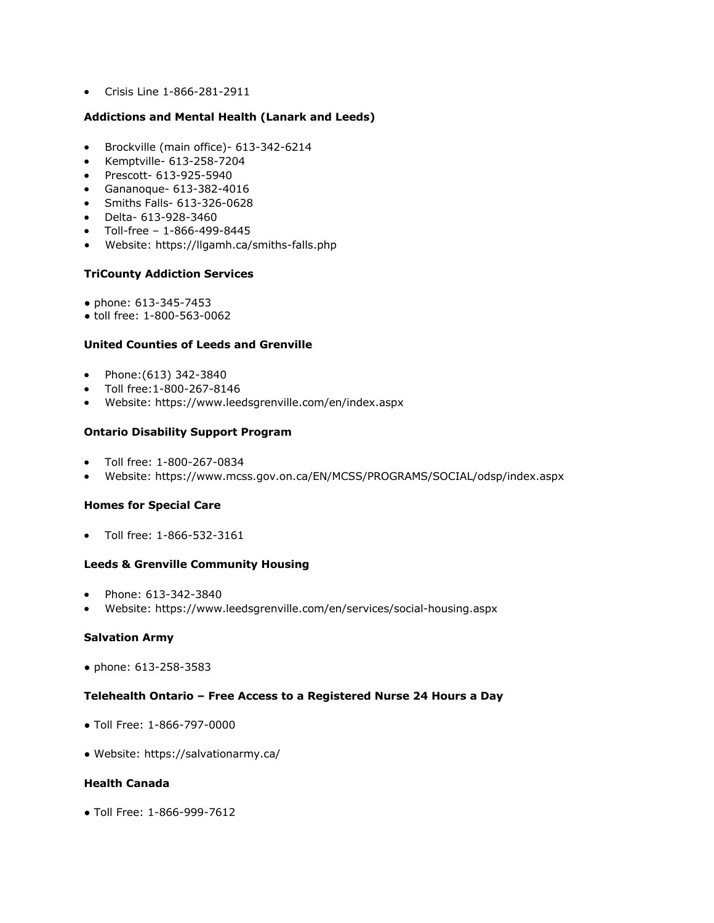• Crisis Line 1-866-281-2911

### **Addictions and Mental Health (Lanark and Leeds)**

- Brockville (main office)- 613-342-6214
- Kemptville- 613-258-7204
- Prescott- 613-925-5940
- Gananoque- 613-382-4016
- Smiths Falls- 613-326-0628
- Delta- 613-928-3460
- Toll-free 1-866-499-8445
- Website: https://llgamh.ca/smiths-falls.php

### **TriCounty Addiction Services**

- phone: 613-345-7453
- toll free: 1-800-563-0062

### **United Counties of Leeds and Grenville**

- Phone:(613) 342-3840
- Toll free:1-800-267-8146
- Website: https://www.leedsgrenville.com/en/index.aspx

### **Ontario Disability Support Program**

- Toll free: 1-800-267-0834
- Website: https://www.mcss.gov.on.ca/EN/MCSS/PROGRAMS/SOCIAL/odsp/index.aspx

#### **Homes for Special Care**

• Toll free: 1-866-532-3161

## **Leeds & Grenville Community Housing**

- Phone: 613-342-3840
- Website: https://www.leedsgrenville.com/en/services/social-housing.aspx

## **Salvation Army**

● phone: 613-258-3583

### **Telehealth Ontario – Free Access to a Registered Nurse 24 Hours a Day**

- Toll Free: 1-866-797-0000
- Website: https://salvationarmy.ca/

## **Health Canada**

● Toll Free: 1-866-999-7612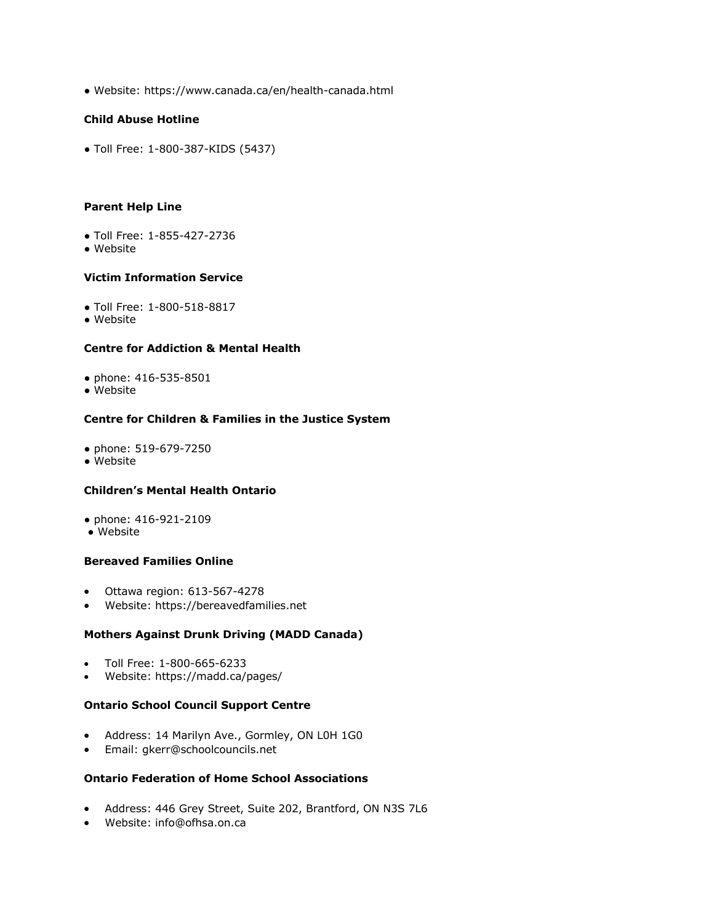● Website: https://www.canada.ca/en/health-canada.html

## **Child Abuse Hotline**

● Toll Free: 1-800-387-KIDS (5437)

## **Parent Help Line**

- Toll Free: 1-855-427-2736
- Website

## **Victim Information Service**

- Toll Free: 1-800-518-8817
- Website

## **Centre for Addiction & Mental Health**

- phone: 416-535-8501
- Website

## **Centre for Children & Families in the Justice System**

- phone: 519-679-7250
- Website

## **Children's Mental Health Ontario**

- phone: 416-921-2109
- Website

## **Bereaved Families Online**

- Ottawa region: 613-567-4278
- Website: https://bereavedfamilies.net

## **Mothers Against Drunk Driving (MADD Canada)**

- Toll Free: 1-800-665-6233
- Website: https://madd.ca/pages/

## **Ontario School Council Support Centre**

- Address: 14 Marilyn Ave., Gormley, ON L0H 1G0
- Email: gkerr@schoolcouncils.net

## **Ontario Federation of Home School Associations**

- Address: 446 Grey Street, Suite 202, Brantford, ON N3S 7L6
- Website: info@ofhsa.on.ca